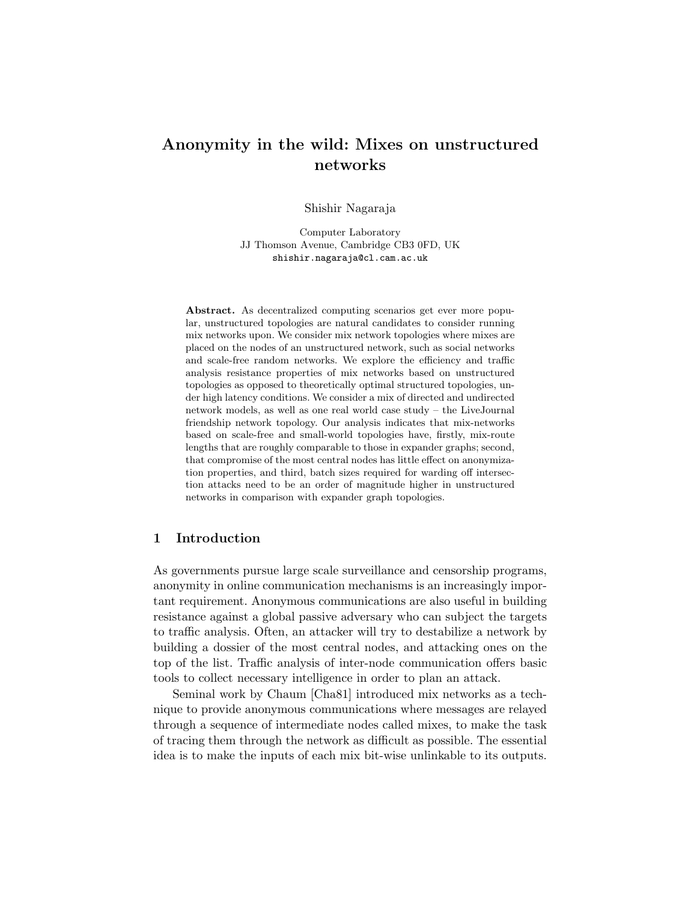# Anonymity in the wild: Mixes on unstructured networks

Shishir Nagaraja

Computer Laboratory JJ Thomson Avenue, Cambridge CB3 0FD, UK shishir.nagaraja@cl.cam.ac.uk

Abstract. As decentralized computing scenarios get ever more popular, unstructured topologies are natural candidates to consider running mix networks upon. We consider mix network topologies where mixes are placed on the nodes of an unstructured network, such as social networks and scale-free random networks. We explore the efficiency and traffic analysis resistance properties of mix networks based on unstructured topologies as opposed to theoretically optimal structured topologies, under high latency conditions. We consider a mix of directed and undirected network models, as well as one real world case study – the LiveJournal friendship network topology. Our analysis indicates that mix-networks based on scale-free and small-world topologies have, firstly, mix-route lengths that are roughly comparable to those in expander graphs; second, that compromise of the most central nodes has little effect on anonymization properties, and third, batch sizes required for warding off intersection attacks need to be an order of magnitude higher in unstructured networks in comparison with expander graph topologies.

# 1 Introduction

As governments pursue large scale surveillance and censorship programs, anonymity in online communication mechanisms is an increasingly important requirement. Anonymous communications are also useful in building resistance against a global passive adversary who can subject the targets to traffic analysis. Often, an attacker will try to destabilize a network by building a dossier of the most central nodes, and attacking ones on the top of the list. Traffic analysis of inter-node communication offers basic tools to collect necessary intelligence in order to plan an attack.

Seminal work by Chaum [Cha81] introduced mix networks as a technique to provide anonymous communications where messages are relayed through a sequence of intermediate nodes called mixes, to make the task of tracing them through the network as difficult as possible. The essential idea is to make the inputs of each mix bit-wise unlinkable to its outputs.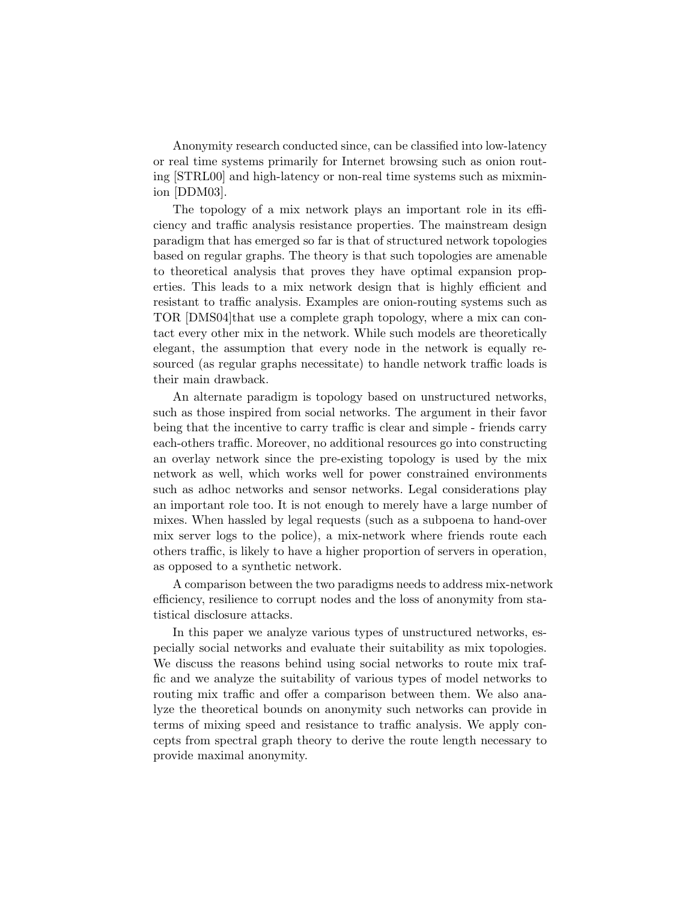Anonymity research conducted since, can be classified into low-latency or real time systems primarily for Internet browsing such as onion routing [STRL00] and high-latency or non-real time systems such as mixminion [DDM03].

The topology of a mix network plays an important role in its efficiency and traffic analysis resistance properties. The mainstream design paradigm that has emerged so far is that of structured network topologies based on regular graphs. The theory is that such topologies are amenable to theoretical analysis that proves they have optimal expansion properties. This leads to a mix network design that is highly efficient and resistant to traffic analysis. Examples are onion-routing systems such as TOR [DMS04]that use a complete graph topology, where a mix can contact every other mix in the network. While such models are theoretically elegant, the assumption that every node in the network is equally resourced (as regular graphs necessitate) to handle network traffic loads is their main drawback.

An alternate paradigm is topology based on unstructured networks, such as those inspired from social networks. The argument in their favor being that the incentive to carry traffic is clear and simple - friends carry each-others traffic. Moreover, no additional resources go into constructing an overlay network since the pre-existing topology is used by the mix network as well, which works well for power constrained environments such as adhoc networks and sensor networks. Legal considerations play an important role too. It is not enough to merely have a large number of mixes. When hassled by legal requests (such as a subpoena to hand-over mix server logs to the police), a mix-network where friends route each others traffic, is likely to have a higher proportion of servers in operation, as opposed to a synthetic network.

A comparison between the two paradigms needs to address mix-network efficiency, resilience to corrupt nodes and the loss of anonymity from statistical disclosure attacks.

In this paper we analyze various types of unstructured networks, especially social networks and evaluate their suitability as mix topologies. We discuss the reasons behind using social networks to route mix traffic and we analyze the suitability of various types of model networks to routing mix traffic and offer a comparison between them. We also analyze the theoretical bounds on anonymity such networks can provide in terms of mixing speed and resistance to traffic analysis. We apply concepts from spectral graph theory to derive the route length necessary to provide maximal anonymity.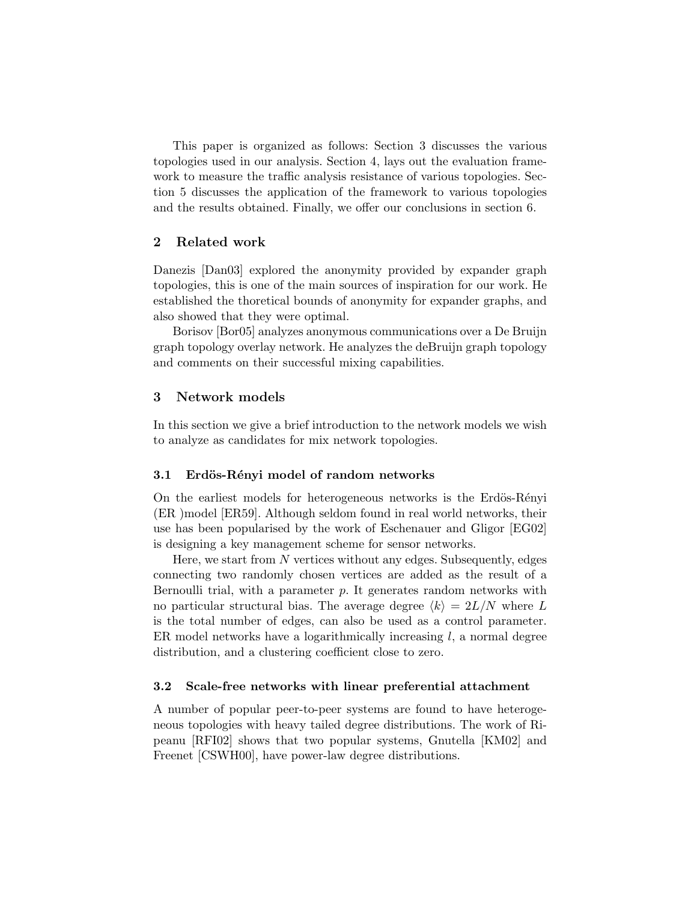This paper is organized as follows: Section 3 discusses the various topologies used in our analysis. Section 4, lays out the evaluation framework to measure the traffic analysis resistance of various topologies. Section 5 discusses the application of the framework to various topologies and the results obtained. Finally, we offer our conclusions in section 6.

# 2 Related work

Danezis [Dan03] explored the anonymity provided by expander graph topologies, this is one of the main sources of inspiration for our work. He established the thoretical bounds of anonymity for expander graphs, and also showed that they were optimal.

Borisov [Bor05] analyzes anonymous communications over a De Bruijn graph topology overlay network. He analyzes the deBruijn graph topology and comments on their successful mixing capabilities.

# 3 Network models

In this section we give a brief introduction to the network models we wish to analyze as candidates for mix network topologies.

## 3.1 Erdös-Rényi model of random networks

On the earliest models for heterogeneous networks is the Erdös-Rényi (ER )model [ER59]. Although seldom found in real world networks, their use has been popularised by the work of Eschenauer and Gligor [EG02] is designing a key management scheme for sensor networks.

Here, we start from  $N$  vertices without any edges. Subsequently, edges connecting two randomly chosen vertices are added as the result of a Bernoulli trial, with a parameter  $p$ . It generates random networks with no particular structural bias. The average degree  $\langle k \rangle = 2L/N$  where L is the total number of edges, can also be used as a control parameter. ER model networks have a logarithmically increasing  $l$ , a normal degree distribution, and a clustering coefficient close to zero.

### 3.2 Scale-free networks with linear preferential attachment

A number of popular peer-to-peer systems are found to have heterogeneous topologies with heavy tailed degree distributions. The work of Ripeanu [RFI02] shows that two popular systems, Gnutella [KM02] and Freenet [CSWH00], have power-law degree distributions.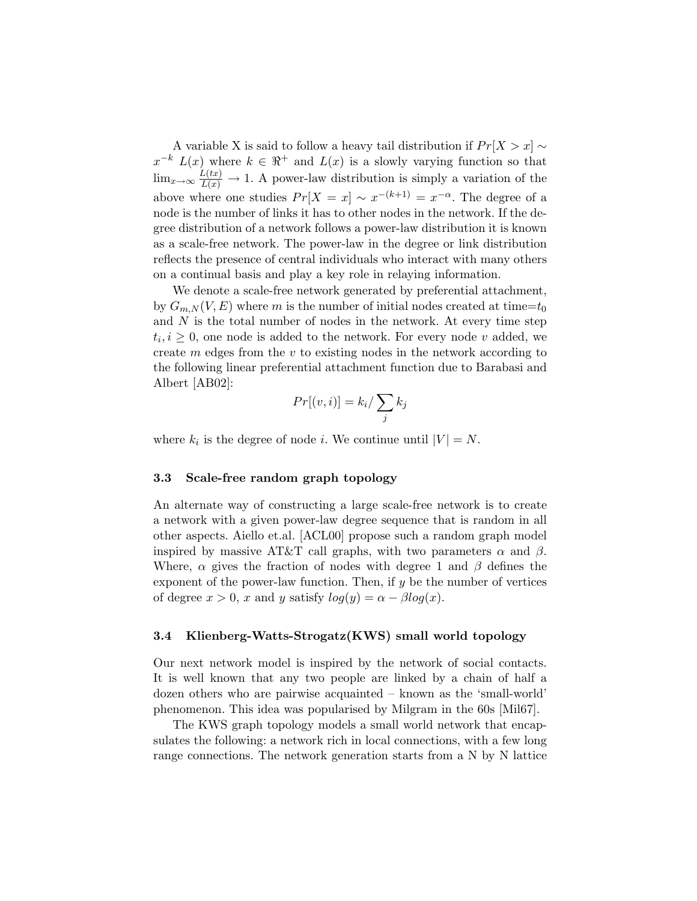A variable X is said to follow a heavy tail distribution if  $Pr[X > x] \sim$  $x^{-k} L(x)$  where  $k \in \mathbb{R}^+$  and  $L(x)$  is a slowly varying function so that  $\lim_{x\to\infty}\frac{L(tx)}{L(x)}\to 1$ . A power-law distribution is simply a variation of the above where one studies  $Pr[X = x] \sim x^{-(k+1)} = x^{-\alpha}$ . The degree of a node is the number of links it has to other nodes in the network. If the degree distribution of a network follows a power-law distribution it is known as a scale-free network. The power-law in the degree or link distribution reflects the presence of central individuals who interact with many others on a continual basis and play a key role in relaying information.

We denote a scale-free network generated by preferential attachment, by  $G_{m,N}(V, E)$  where m is the number of initial nodes created at time=t<sub>0</sub> and  $N$  is the total number of nodes in the network. At every time step  $t_i, i \geq 0$ , one node is added to the network. For every node v added, we create  $m$  edges from the  $v$  to existing nodes in the network according to the following linear preferential attachment function due to Barabasi and Albert [AB02]:

$$
Pr[(v, i)] = k_i / \sum_j k_j
$$

where  $k_i$  is the degree of node *i*. We continue until  $|V| = N$ .

#### 3.3 Scale-free random graph topology

An alternate way of constructing a large scale-free network is to create a network with a given power-law degree sequence that is random in all other aspects. Aiello et.al. [ACL00] propose such a random graph model inspired by massive AT&T call graphs, with two parameters  $\alpha$  and  $\beta$ . Where,  $\alpha$  gives the fraction of nodes with degree 1 and  $\beta$  defines the exponent of the power-law function. Then, if  $y$  be the number of vertices of degree  $x > 0$ , x and y satisfy  $log(y) = \alpha - \beta log(x)$ .

#### 3.4 Klienberg-Watts-Strogatz(KWS) small world topology

Our next network model is inspired by the network of social contacts. It is well known that any two people are linked by a chain of half a dozen others who are pairwise acquainted – known as the 'small-world' phenomenon. This idea was popularised by Milgram in the 60s [Mil67].

The KWS graph topology models a small world network that encapsulates the following: a network rich in local connections, with a few long range connections. The network generation starts from a N by N lattice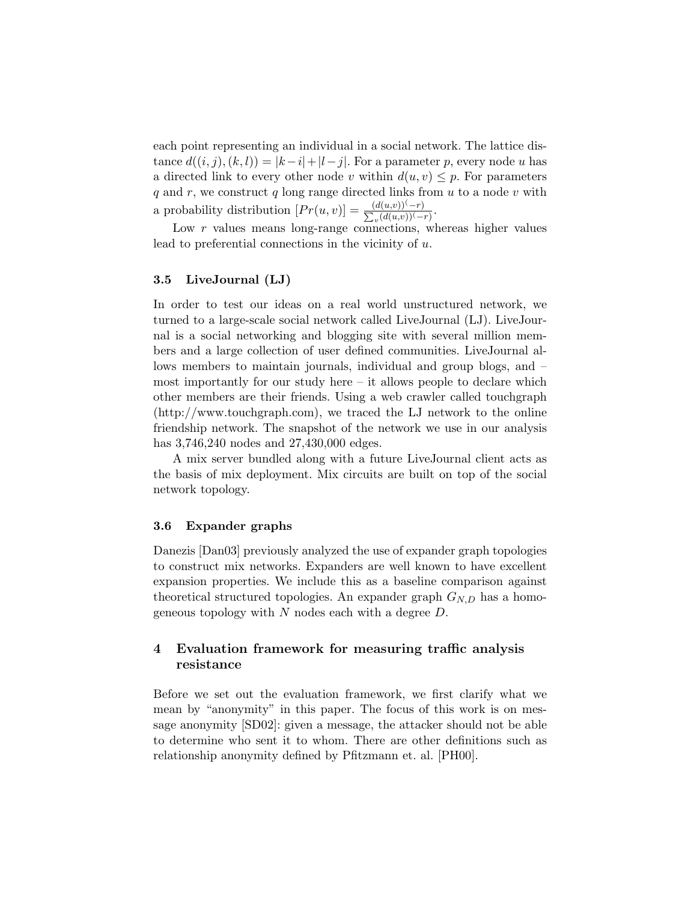each point representing an individual in a social network. The lattice distance  $d((i, j), (k, l)) = |k - i| + |l - j|$ . For a parameter p, every node u has a directed link to every other node v within  $d(u, v) \leq p$ . For parameters q and r, we construct q long range directed links from  $u$  to a node  $v$  with a probability distribution  $[Pr(u, v)] = \frac{(d(u, v))}{\sum_{v} (d(u, v))}$  $(-r)$  $\frac{a(u,v))^{(-r)}}{v(d(u,v))^{(-r)}}$ .

Low  $r$  values means long-range connections, whereas higher values lead to preferential connections in the vicinity of u.

## 3.5 LiveJournal (LJ)

In order to test our ideas on a real world unstructured network, we turned to a large-scale social network called LiveJournal (LJ). LiveJournal is a social networking and blogging site with several million members and a large collection of user defined communities. LiveJournal allows members to maintain journals, individual and group blogs, and – most importantly for our study here  $-$  it allows people to declare which other members are their friends. Using a web crawler called touchgraph (http://www.touchgraph.com), we traced the LJ network to the online friendship network. The snapshot of the network we use in our analysis has 3,746,240 nodes and 27,430,000 edges.

A mix server bundled along with a future LiveJournal client acts as the basis of mix deployment. Mix circuits are built on top of the social network topology.

### 3.6 Expander graphs

Danezis [Dan03] previously analyzed the use of expander graph topologies to construct mix networks. Expanders are well known to have excellent expansion properties. We include this as a baseline comparison against theoretical structured topologies. An expander graph  $G_{N,D}$  has a homogeneous topology with  $N$  nodes each with a degree  $D$ .

# 4 Evaluation framework for measuring traffic analysis resistance

Before we set out the evaluation framework, we first clarify what we mean by "anonymity" in this paper. The focus of this work is on message anonymity [SD02]: given a message, the attacker should not be able to determine who sent it to whom. There are other definitions such as relationship anonymity defined by Pfitzmann et. al. [PH00].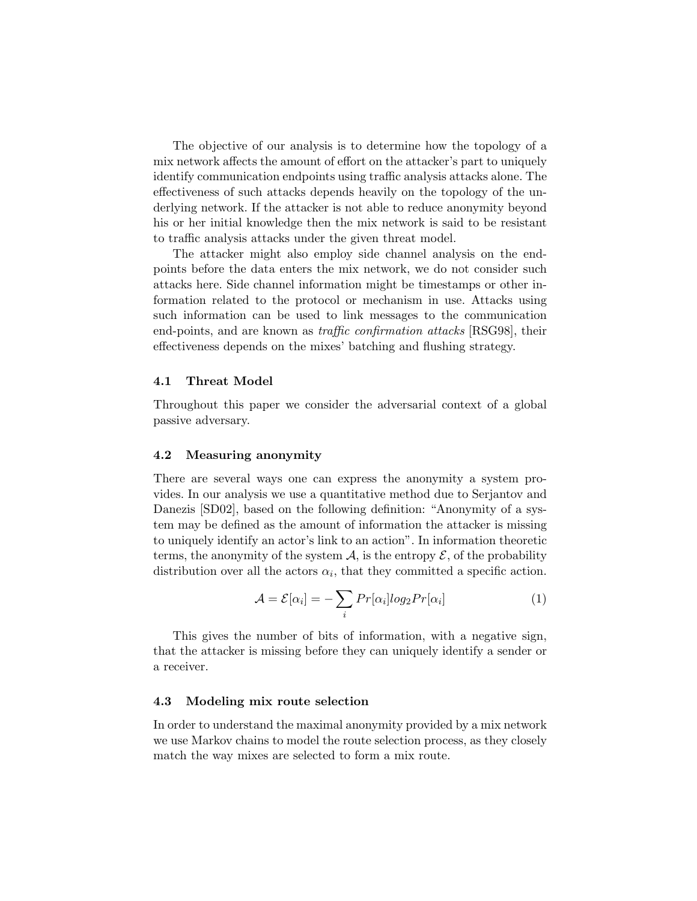The objective of our analysis is to determine how the topology of a mix network affects the amount of effort on the attacker's part to uniquely identify communication endpoints using traffic analysis attacks alone. The effectiveness of such attacks depends heavily on the topology of the underlying network. If the attacker is not able to reduce anonymity beyond his or her initial knowledge then the mix network is said to be resistant to traffic analysis attacks under the given threat model.

The attacker might also employ side channel analysis on the endpoints before the data enters the mix network, we do not consider such attacks here. Side channel information might be timestamps or other information related to the protocol or mechanism in use. Attacks using such information can be used to link messages to the communication end-points, and are known as traffic confirmation attacks [RSG98], their effectiveness depends on the mixes' batching and flushing strategy.

### 4.1 Threat Model

Throughout this paper we consider the adversarial context of a global passive adversary.

#### 4.2 Measuring anonymity

There are several ways one can express the anonymity a system provides. In our analysis we use a quantitative method due to Serjantov and Danezis [SD02], based on the following definition: "Anonymity of a system may be defined as the amount of information the attacker is missing to uniquely identify an actor's link to an action". In information theoretic terms, the anonymity of the system  $A$ , is the entropy  $\mathcal{E}$ , of the probability distribution over all the actors  $\alpha_i$ , that they committed a specific action.

$$
\mathcal{A} = \mathcal{E}[\alpha_i] = -\sum_i Pr[\alpha_i]log_2 Pr[\alpha_i]
$$
 (1)

This gives the number of bits of information, with a negative sign, that the attacker is missing before they can uniquely identify a sender or a receiver.

### 4.3 Modeling mix route selection

In order to understand the maximal anonymity provided by a mix network we use Markov chains to model the route selection process, as they closely match the way mixes are selected to form a mix route.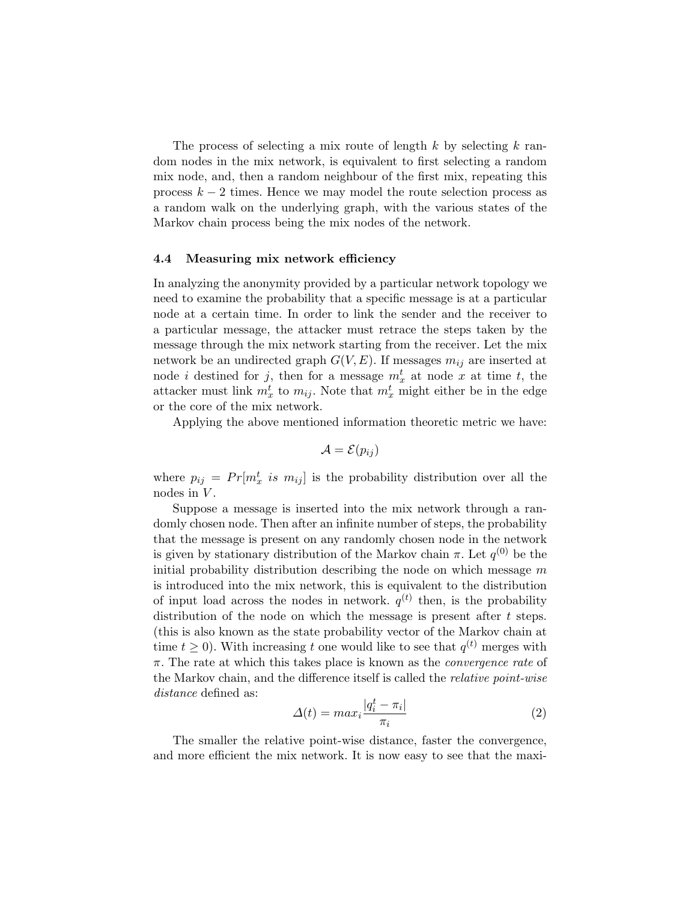The process of selecting a mix route of length  $k$  by selecting  $k$  random nodes in the mix network, is equivalent to first selecting a random mix node, and, then a random neighbour of the first mix, repeating this process  $k - 2$  times. Hence we may model the route selection process as a random walk on the underlying graph, with the various states of the Markov chain process being the mix nodes of the network.

#### 4.4 Measuring mix network efficiency

In analyzing the anonymity provided by a particular network topology we need to examine the probability that a specific message is at a particular node at a certain time. In order to link the sender and the receiver to a particular message, the attacker must retrace the steps taken by the message through the mix network starting from the receiver. Let the mix network be an undirected graph  $G(V, E)$ . If messages  $m_{ij}$  are inserted at node *i* destined for *j*, then for a message  $m_x^t$  at node *x* at time *t*, the attacker must link  $m_x^t$  to  $m_{ij}$ . Note that  $m_x^t$  might either be in the edge or the core of the mix network.

Applying the above mentioned information theoretic metric we have:

$$
\mathcal{A} = \mathcal{E}(p_{ij})
$$

where  $p_{ij} = Pr[m_x^t \text{ is } m_{ij}]$  is the probability distribution over all the nodes in  $V$ .

Suppose a message is inserted into the mix network through a randomly chosen node. Then after an infinite number of steps, the probability that the message is present on any randomly chosen node in the network is given by stationary distribution of the Markov chain  $\pi$ . Let  $q^{(0)}$  be the initial probability distribution describing the node on which message  $m$ is introduced into the mix network, this is equivalent to the distribution of input load across the nodes in network.  $q^{(t)}$  then, is the probability distribution of the node on which the message is present after  $t$  steps. (this is also known as the state probability vector of the Markov chain at time  $t \geq 0$ ). With increasing t one would like to see that  $q^{(t)}$  merges with  $\pi$ . The rate at which this takes place is known as the *convergence rate* of the Markov chain, and the difference itself is called the relative point-wise distance defined as:

$$
\Delta(t) = \max_{i} \frac{|q_i^t - \pi_i|}{\pi_i} \tag{2}
$$

The smaller the relative point-wise distance, faster the convergence, and more efficient the mix network. It is now easy to see that the maxi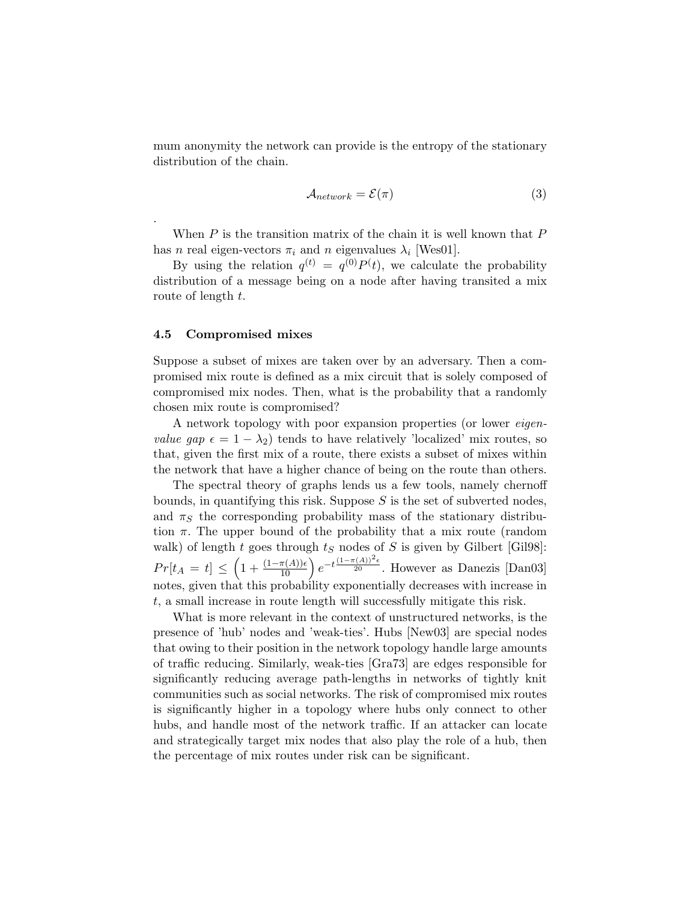mum anonymity the network can provide is the entropy of the stationary distribution of the chain.

$$
\mathcal{A}_{network} = \mathcal{E}(\pi) \tag{3}
$$

When  $P$  is the transition matrix of the chain it is well known that  $P$ has n real eigen-vectors  $\pi_i$  and n eigenvalues  $\lambda_i$  [Wes01].

By using the relation  $q^{(t)} = q^{(0)} P^{(t)}$ , we calculate the probability distribution of a message being on a node after having transited a mix route of length t.

### 4.5 Compromised mixes

.

Suppose a subset of mixes are taken over by an adversary. Then a compromised mix route is defined as a mix circuit that is solely composed of compromised mix nodes. Then, what is the probability that a randomly chosen mix route is compromised?

A network topology with poor expansion properties (or lower eigenvalue gap  $\epsilon = 1 - \lambda_2$ ) tends to have relatively 'localized' mix routes, so that, given the first mix of a route, there exists a subset of mixes within the network that have a higher chance of being on the route than others.

The spectral theory of graphs lends us a few tools, namely chernoff bounds, in quantifying this risk. Suppose  $S$  is the set of subverted nodes, and  $\pi_S$  the corresponding probability mass of the stationary distribution  $\pi$ . The upper bound of the probability that a mix route (random walk) of length t goes through  $t<sub>S</sub>$  nodes of S is given by Gilbert [Gil98]:  $Pr[t_A = t] \leq \left(1 + \frac{(1 - \pi(A))\epsilon}{10}\right)e^{-t\frac{(1 - \pi(A))^2\epsilon}{20}}$ . However as Danezis [Dan03] notes, given that this probability exponentially decreases with increase in t, a small increase in route length will successfully mitigate this risk.

What is more relevant in the context of unstructured networks, is the presence of 'hub' nodes and 'weak-ties'. Hubs [New03] are special nodes that owing to their position in the network topology handle large amounts of traffic reducing. Similarly, weak-ties [Gra73] are edges responsible for significantly reducing average path-lengths in networks of tightly knit communities such as social networks. The risk of compromised mix routes is significantly higher in a topology where hubs only connect to other hubs, and handle most of the network traffic. If an attacker can locate and strategically target mix nodes that also play the role of a hub, then the percentage of mix routes under risk can be significant.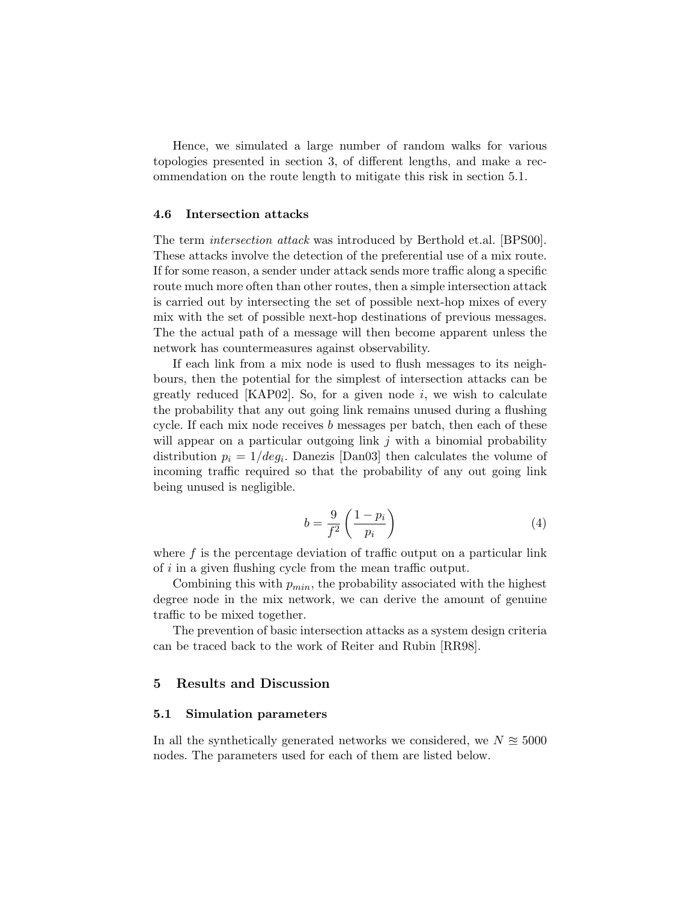Hence, we simulated a large number of random walks for various topologies presented in section 3, of different lengths, and make a recommendation on the route length to mitigate this risk in section 5.1.

# 4.6 Intersection attacks

The term intersection attack was introduced by Berthold et.al. [BPS00]. These attacks involve the detection of the preferential use of a mix route. If for some reason, a sender under attack sends more traffic along a specific route much more often than other routes, then a simple intersection attack is carried out by intersecting the set of possible next-hop mixes of every mix with the set of possible next-hop destinations of previous messages. The the actual path of a message will then become apparent unless the network has countermeasures against observability.

If each link from a mix node is used to flush messages to its neighbours, then the potential for the simplest of intersection attacks can be greatly reduced [KAP02]. So, for a given node  $i$ , we wish to calculate the probability that any out going link remains unused during a flushing cycle. If each mix node receives b messages per batch, then each of these will appear on a particular outgoing link  $j$  with a binomial probability distribution  $p_i = 1/deg_i$ . Danezis [Dan03] then calculates the volume of incoming traffic required so that the probability of any out going link being unused is negligible.

$$
b = \frac{9}{f^2} \left( \frac{1 - p_i}{p_i} \right) \tag{4}
$$

where  $f$  is the percentage deviation of traffic output on a particular link of i in a given flushing cycle from the mean traffic output.

Combining this with  $p_{min}$ , the probability associated with the highest degree node in the mix network, we can derive the amount of genuine traffic to be mixed together.

The prevention of basic intersection attacks as a system design criteria can be traced back to the work of Reiter and Rubin [RR98].

### 5 Results and Discussion

#### 5.1 Simulation parameters

In all the synthetically generated networks we considered, we  $N \approx 5000$ nodes. The parameters used for each of them are listed below.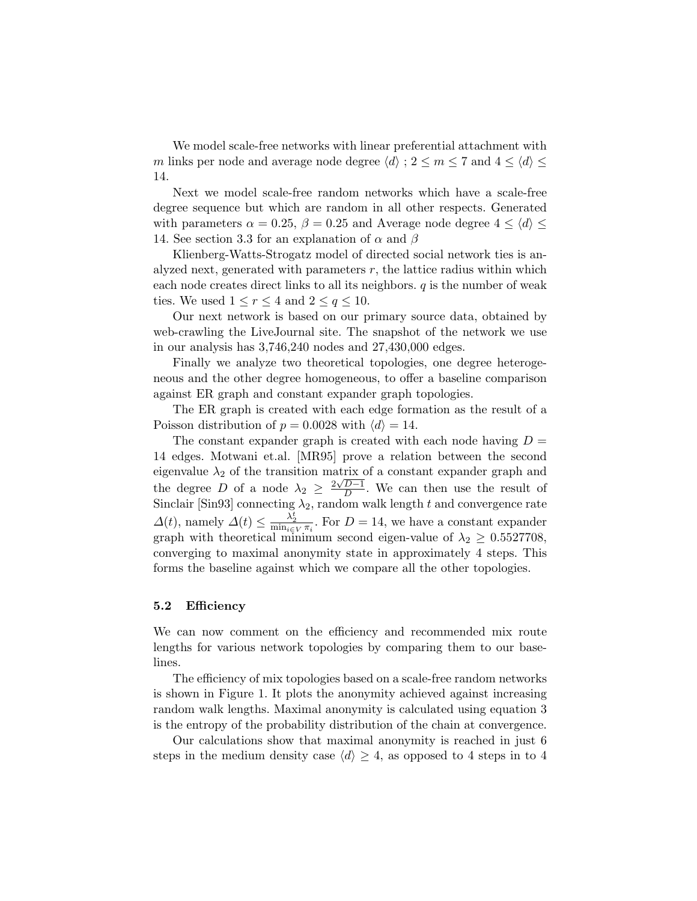We model scale-free networks with linear preferential attachment with m links per node and average node degree  $\langle d \rangle$ ;  $2 \le m \le 7$  and  $4 \le \langle d \rangle \le$ 14.

Next we model scale-free random networks which have a scale-free degree sequence but which are random in all other respects. Generated with parameters  $\alpha = 0.25$ ,  $\beta = 0.25$  and Average node degree  $4 \le \langle d \rangle \le$ 14. See section 3.3 for an explanation of  $\alpha$  and  $\beta$ 

Klienberg-Watts-Strogatz model of directed social network ties is analyzed next, generated with parameters  $r$ , the lattice radius within which each node creates direct links to all its neighbors.  $q$  is the number of weak ties. We used  $1 \leq r \leq 4$  and  $2 \leq q \leq 10$ .

Our next network is based on our primary source data, obtained by web-crawling the LiveJournal site. The snapshot of the network we use in our analysis has 3,746,240 nodes and 27,430,000 edges.

Finally we analyze two theoretical topologies, one degree heterogeneous and the other degree homogeneous, to offer a baseline comparison against ER graph and constant expander graph topologies.

The ER graph is created with each edge formation as the result of a Poisson distribution of  $p = 0.0028$  with  $\langle d \rangle = 14$ .

The constant expander graph is created with each node having  $D =$ 14 edges. Motwani et.al. [MR95] prove a relation between the second eigenvalue  $\lambda_2$  of the transition matrix of a constant expander graph and the degree D of a node  $\lambda_2 \geq \frac{2\sqrt{D-1}}{2}$  $\frac{D-1}{D}$ . We can then use the result of Sinclair [Sin93] connecting  $\lambda_2$ , random walk length t and convergence rate  $\Delta(t)$ , namely  $\Delta(t) \leq \frac{\lambda_2^t}{\min_{i \in V} \pi_i}$ . For  $D = 14$ , we have a constant expander graph with theoretical minimum second eigen-value of  $\lambda_2 \geq 0.5527708$ , converging to maximal anonymity state in approximately 4 steps. This forms the baseline against which we compare all the other topologies.

#### 5.2 Efficiency

We can now comment on the efficiency and recommended mix route lengths for various network topologies by comparing them to our baselines.

The efficiency of mix topologies based on a scale-free random networks is shown in Figure 1. It plots the anonymity achieved against increasing random walk lengths. Maximal anonymity is calculated using equation 3 is the entropy of the probability distribution of the chain at convergence.

Our calculations show that maximal anonymity is reached in just 6 steps in the medium density case  $\langle d \rangle \geq 4$ , as opposed to 4 steps in to 4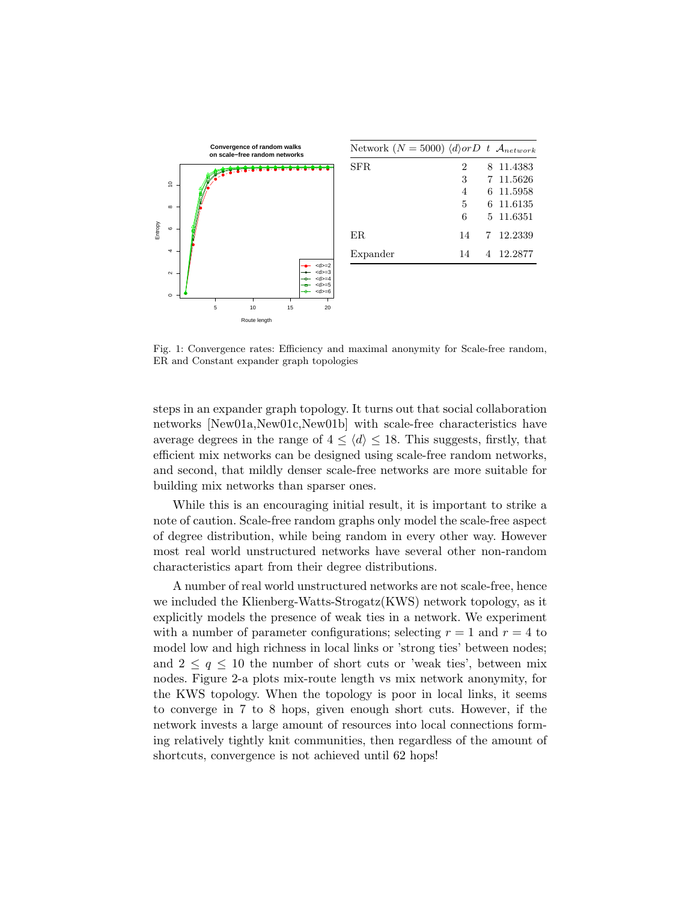

Fig. 1: Convergence rates: Efficiency and maximal anonymity for Scale-free random, ER and Constant expander graph topologies

steps in an expander graph topology. It turns out that social collaboration networks [New01a,New01c,New01b] with scale-free characteristics have average degrees in the range of  $4 \langle d \rangle \langle 18$ . This suggests, firstly, that efficient mix networks can be designed using scale-free random networks, and second, that mildly denser scale-free networks are more suitable for building mix networks than sparser ones.

While this is an encouraging initial result, it is important to strike a note of caution. Scale-free random graphs only model the scale-free aspect of degree distribution, while being random in every other way. However most real world unstructured networks have several other non-random characteristics apart from their degree distributions.

A number of real world unstructured networks are not scale-free, hence we included the Klienberg-Watts-Strogatz(KWS) network topology, as it explicitly models the presence of weak ties in a network. We experiment with a number of parameter configurations; selecting  $r = 1$  and  $r = 4$  to model low and high richness in local links or 'strong ties' between nodes; and  $2 \leq q \leq 10$  the number of short cuts or 'weak ties', between mix nodes. Figure 2-a plots mix-route length vs mix network anonymity, for the KWS topology. When the topology is poor in local links, it seems to converge in 7 to 8 hops, given enough short cuts. However, if the network invests a large amount of resources into local connections forming relatively tightly knit communities, then regardless of the amount of shortcuts, convergence is not achieved until 62 hops!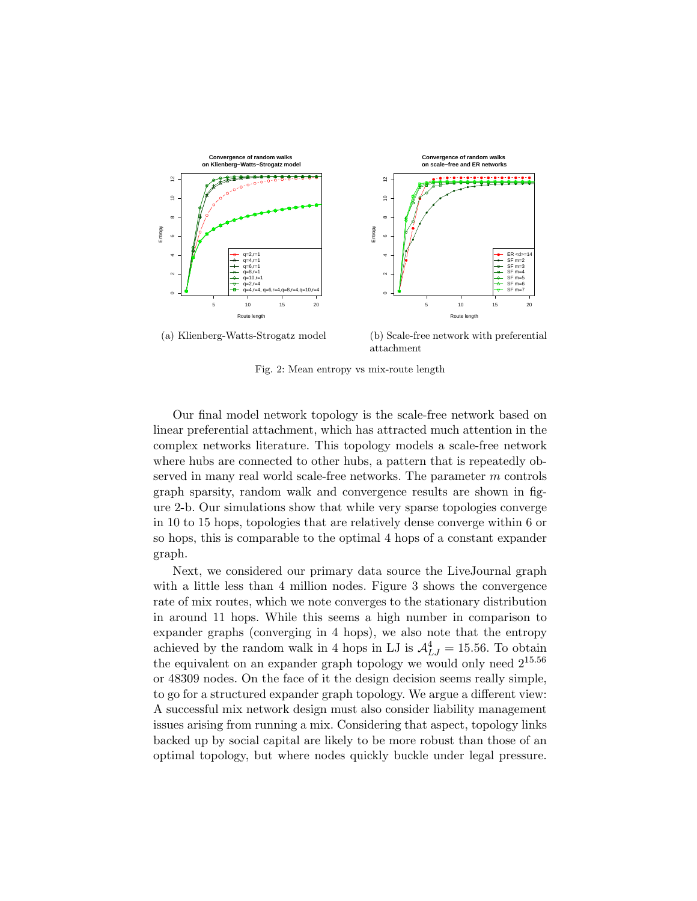

(a) Klienberg-Watts-Strogatz model (b) Scale-free network with preferential attachment

Fig. 2: Mean entropy vs mix-route length

Our final model network topology is the scale-free network based on linear preferential attachment, which has attracted much attention in the complex networks literature. This topology models a scale-free network where hubs are connected to other hubs, a pattern that is repeatedly observed in many real world scale-free networks. The parameter m controls graph sparsity, random walk and convergence results are shown in figure 2-b. Our simulations show that while very sparse topologies converge in 10 to 15 hops, topologies that are relatively dense converge within 6 or so hops, this is comparable to the optimal 4 hops of a constant expander graph.

Next, we considered our primary data source the LiveJournal graph with a little less than 4 million nodes. Figure 3 shows the convergence rate of mix routes, which we note converges to the stationary distribution in around 11 hops. While this seems a high number in comparison to expander graphs (converging in 4 hops), we also note that the entropy achieved by the random walk in 4 hops in LJ is  $\mathcal{A}_{LJ}^4 = 15.56$ . To obtain the equivalent on an expander graph topology we would only need 215.<sup>56</sup> or 48309 nodes. On the face of it the design decision seems really simple, to go for a structured expander graph topology. We argue a different view: A successful mix network design must also consider liability management issues arising from running a mix. Considering that aspect, topology links backed up by social capital are likely to be more robust than those of an optimal topology, but where nodes quickly buckle under legal pressure.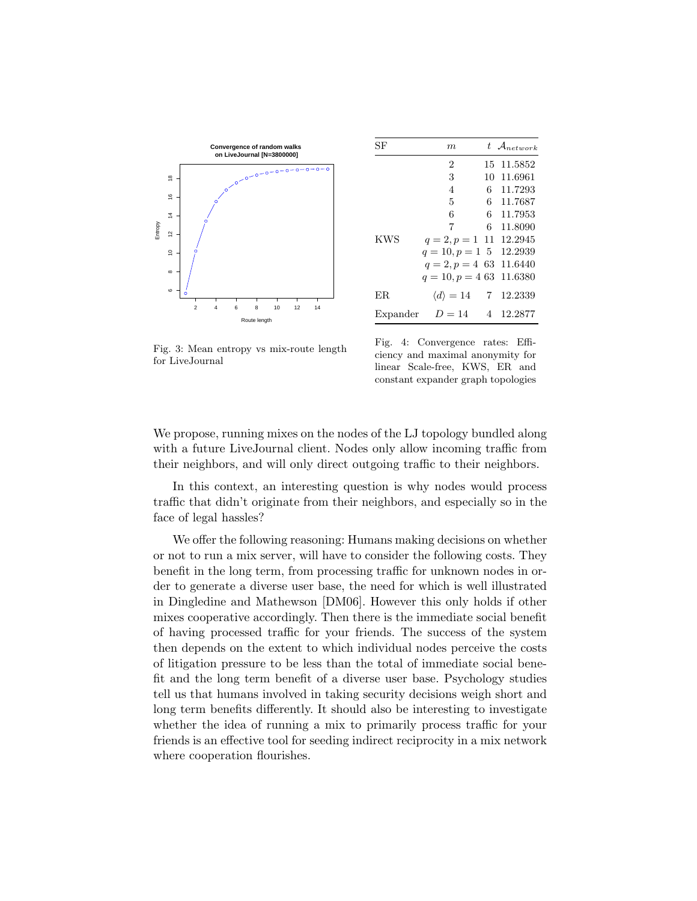![](_page_12_Figure_0.jpeg)

| SF       | $_{m}$                   |             | t Anetwork |
|----------|--------------------------|-------------|------------|
|          | $\overline{2}$           | 15          | 11.5852    |
|          | 3                        | 10.         | 11.6961    |
|          | 4                        | 6.          | 11.7293    |
| KWS      | 5                        | 6.          | 11.7687    |
|          | 6                        | 6.          | 11.7953    |
|          | 7                        | 6           | 11.8090    |
|          | $q=2, p=1$ 11            |             | 12.2945    |
|          | $q=10, p=1, 5$           |             | 12.2939    |
|          | $q=2, p=4, 63$           |             | 11.6440    |
|          | $q=10, p=4, 63$          |             | 11.6380    |
| ER.      | $\langle d \rangle = 14$ | $7^{\circ}$ | 12.2339    |
| Expander | $D=14$                   | 4           | 12.2877    |

Fig. 3: Mean entropy vs mix-route length for LiveJournal

Fig. 4: Convergence rates: Efficiency and maximal anonymity for linear Scale-free, KWS, ER and constant expander graph topologies

We propose, running mixes on the nodes of the LJ topology bundled along with a future LiveJournal client. Nodes only allow incoming traffic from their neighbors, and will only direct outgoing traffic to their neighbors.

In this context, an interesting question is why nodes would process traffic that didn't originate from their neighbors, and especially so in the face of legal hassles?

We offer the following reasoning: Humans making decisions on whether or not to run a mix server, will have to consider the following costs. They benefit in the long term, from processing traffic for unknown nodes in order to generate a diverse user base, the need for which is well illustrated in Dingledine and Mathewson [DM06]. However this only holds if other mixes cooperative accordingly. Then there is the immediate social benefit of having processed traffic for your friends. The success of the system then depends on the extent to which individual nodes perceive the costs of litigation pressure to be less than the total of immediate social benefit and the long term benefit of a diverse user base. Psychology studies tell us that humans involved in taking security decisions weigh short and long term benefits differently. It should also be interesting to investigate whether the idea of running a mix to primarily process traffic for your friends is an effective tool for seeding indirect reciprocity in a mix network where cooperation flourishes.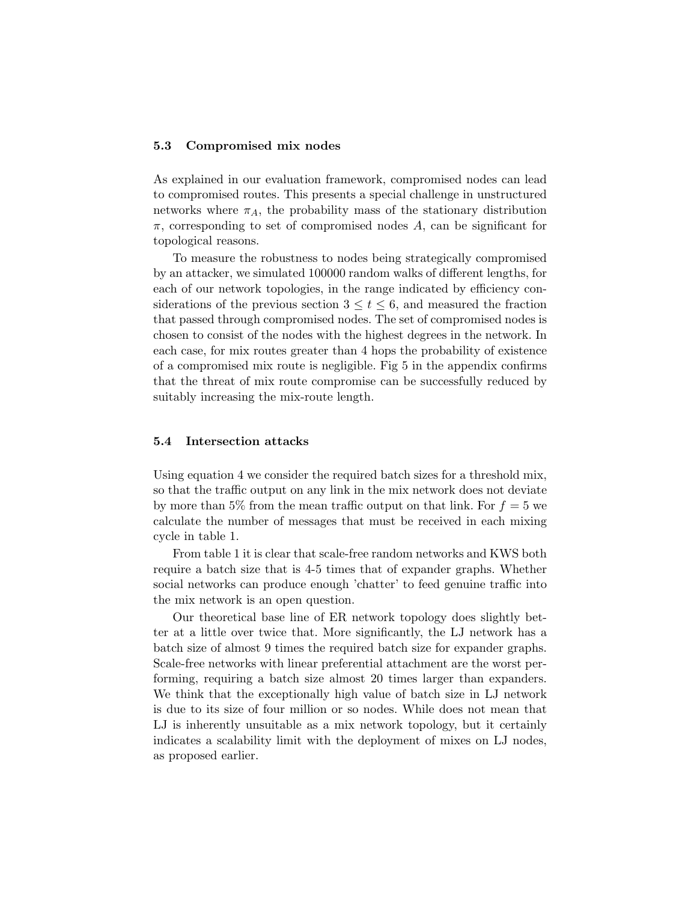#### 5.3 Compromised mix nodes

As explained in our evaluation framework, compromised nodes can lead to compromised routes. This presents a special challenge in unstructured networks where  $\pi_A$ , the probability mass of the stationary distribution  $\pi$ , corresponding to set of compromised nodes  $A$ , can be significant for topological reasons.

To measure the robustness to nodes being strategically compromised by an attacker, we simulated 100000 random walks of different lengths, for each of our network topologies, in the range indicated by efficiency considerations of the previous section  $3 \le t \le 6$ , and measured the fraction that passed through compromised nodes. The set of compromised nodes is chosen to consist of the nodes with the highest degrees in the network. In each case, for mix routes greater than 4 hops the probability of existence of a compromised mix route is negligible. Fig 5 in the appendix confirms that the threat of mix route compromise can be successfully reduced by suitably increasing the mix-route length.

#### 5.4 Intersection attacks

Using equation 4 we consider the required batch sizes for a threshold mix, so that the traffic output on any link in the mix network does not deviate by more than 5% from the mean traffic output on that link. For  $f = 5$  we calculate the number of messages that must be received in each mixing cycle in table 1.

From table 1 it is clear that scale-free random networks and KWS both require a batch size that is 4-5 times that of expander graphs. Whether social networks can produce enough 'chatter' to feed genuine traffic into the mix network is an open question.

Our theoretical base line of ER network topology does slightly better at a little over twice that. More significantly, the LJ network has a batch size of almost 9 times the required batch size for expander graphs. Scale-free networks with linear preferential attachment are the worst performing, requiring a batch size almost 20 times larger than expanders. We think that the exceptionally high value of batch size in LJ network is due to its size of four million or so nodes. While does not mean that LJ is inherently unsuitable as a mix network topology, but it certainly indicates a scalability limit with the deployment of mixes on LJ nodes, as proposed earlier.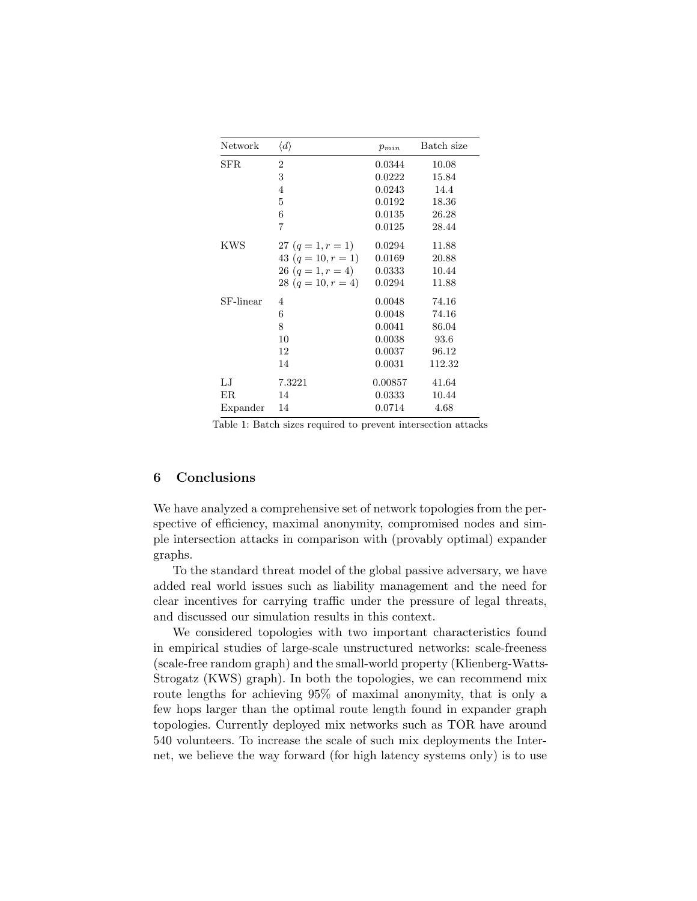| Network      | $\langle d \rangle$    | $p_{min}$ | Batch size |
|--------------|------------------------|-----------|------------|
| $_{\rm SFR}$ | 2                      | 0.0344    | 10.08      |
|              | 3                      | 0.0222    | 15.84      |
|              | 4                      | 0.0243    | 14.4       |
|              | 5                      | 0.0192    | 18.36      |
|              | 6                      | 0.0135    | 26.28      |
|              | $\overline{7}$         | 0.0125    | 28.44      |
| KWS          | 27 $(q = 1, r = 1)$    | 0.0294    | 11.88      |
|              | 43 ( $q = 10, r = 1$ ) | 0.0169    | 20.88      |
|              | 26 ( $q = 1, r = 4$ )  | 0.0333    | 10.44      |
|              | 28 (q = 10, r = 4)     | 0.0294    | 11.88      |
| SF-linear    | 4                      | 0.0048    | 74.16      |
|              | 6                      | 0.0048    | 74.16      |
|              | 8                      | 0.0041    | 86.04      |
|              | 10                     | 0.0038    | 93.6       |
|              | 12                     | 0.0037    | 96.12      |
|              | 14                     | 0.0031    | 112.32     |
| LJ           | 7.3221                 | 0.00857   | 41.64      |
| ER           | 14                     | 0.0333    | 10.44      |
| Expander     | 14                     | 0.0714    | 4.68       |

Table 1: Batch sizes required to prevent intersection attacks

# 6 Conclusions

We have analyzed a comprehensive set of network topologies from the perspective of efficiency, maximal anonymity, compromised nodes and simple intersection attacks in comparison with (provably optimal) expander graphs.

To the standard threat model of the global passive adversary, we have added real world issues such as liability management and the need for clear incentives for carrying traffic under the pressure of legal threats, and discussed our simulation results in this context.

We considered topologies with two important characteristics found in empirical studies of large-scale unstructured networks: scale-freeness (scale-free random graph) and the small-world property (Klienberg-Watts-Strogatz (KWS) graph). In both the topologies, we can recommend mix route lengths for achieving 95% of maximal anonymity, that is only a few hops larger than the optimal route length found in expander graph topologies. Currently deployed mix networks such as TOR have around 540 volunteers. To increase the scale of such mix deployments the Internet, we believe the way forward (for high latency systems only) is to use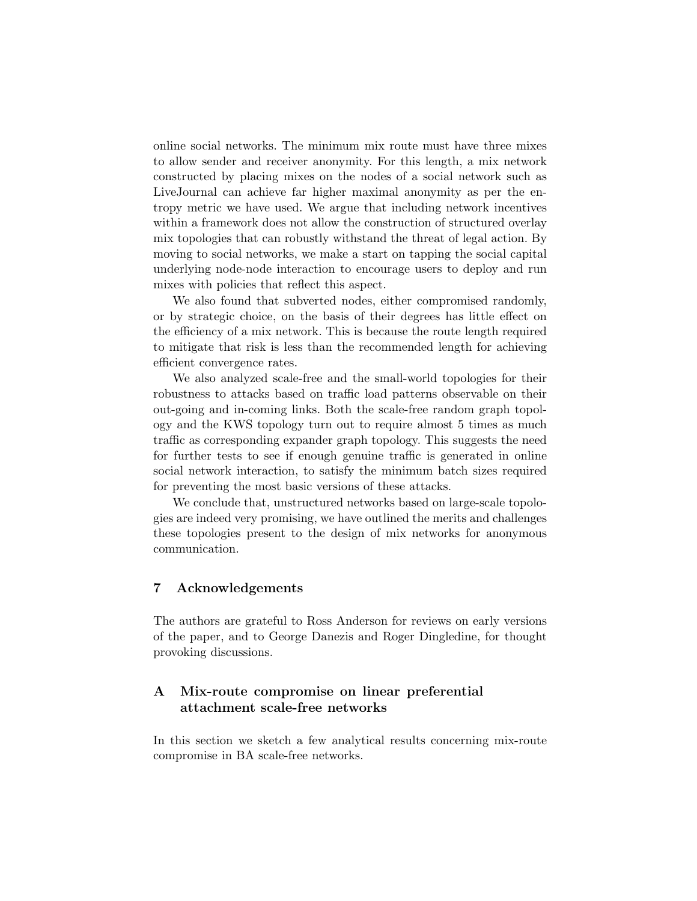online social networks. The minimum mix route must have three mixes to allow sender and receiver anonymity. For this length, a mix network constructed by placing mixes on the nodes of a social network such as LiveJournal can achieve far higher maximal anonymity as per the entropy metric we have used. We argue that including network incentives within a framework does not allow the construction of structured overlay mix topologies that can robustly withstand the threat of legal action. By moving to social networks, we make a start on tapping the social capital underlying node-node interaction to encourage users to deploy and run mixes with policies that reflect this aspect.

We also found that subverted nodes, either compromised randomly, or by strategic choice, on the basis of their degrees has little effect on the efficiency of a mix network. This is because the route length required to mitigate that risk is less than the recommended length for achieving efficient convergence rates.

We also analyzed scale-free and the small-world topologies for their robustness to attacks based on traffic load patterns observable on their out-going and in-coming links. Both the scale-free random graph topology and the KWS topology turn out to require almost 5 times as much traffic as corresponding expander graph topology. This suggests the need for further tests to see if enough genuine traffic is generated in online social network interaction, to satisfy the minimum batch sizes required for preventing the most basic versions of these attacks.

We conclude that, unstructured networks based on large-scale topologies are indeed very promising, we have outlined the merits and challenges these topologies present to the design of mix networks for anonymous communication.

# 7 Acknowledgements

The authors are grateful to Ross Anderson for reviews on early versions of the paper, and to George Danezis and Roger Dingledine, for thought provoking discussions.

# A Mix-route compromise on linear preferential attachment scale-free networks

In this section we sketch a few analytical results concerning mix-route compromise in BA scale-free networks.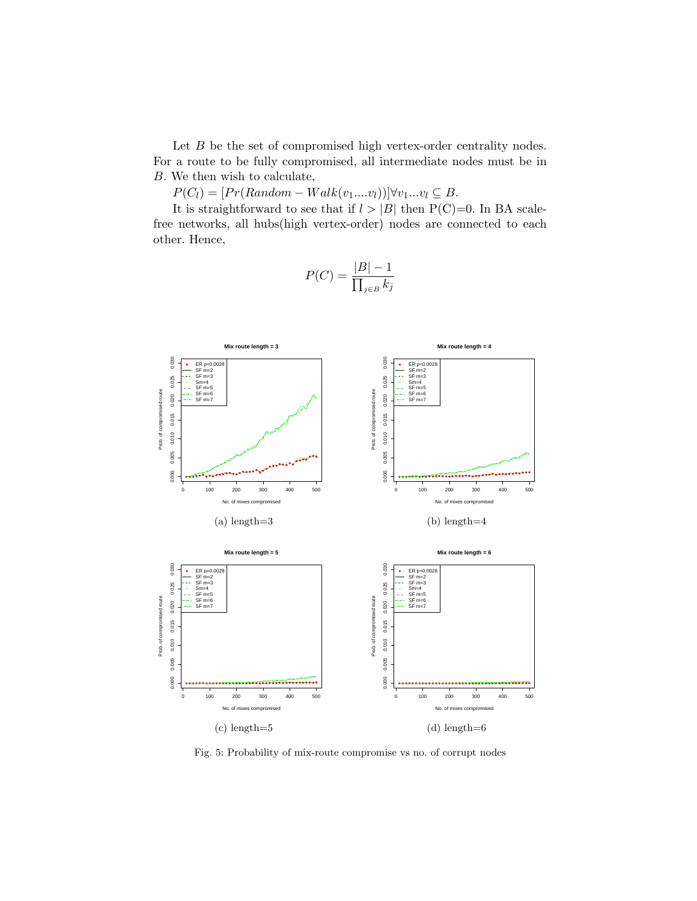Let  $B$  be the set of compromised high vertex-order centrality nodes. For a route to be fully compromised, all intermediate nodes must be in B. We then wish to calculate,

 $P(C_l) = [Pr(Random - Walk(v_1....v_l))] \forall v_1...\nu_l \subseteq B.$ 

It is straightforward to see that if  $l > |B|$  then P(C)=0. In BA scalefree networks, all hubs(high vertex-order) nodes are connected to each other. Hence,

$$
P(C) = \frac{|B| - 1}{\prod_{j \in B} k_j}
$$

![](_page_16_Figure_4.jpeg)

Fig. 5: Probability of mix-route compromise vs no. of corrupt nodes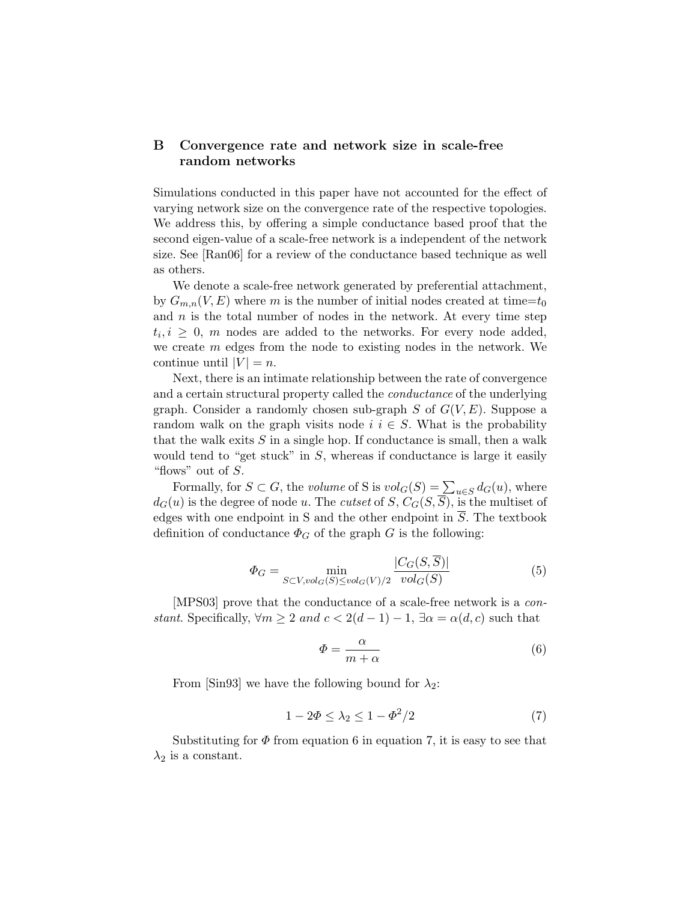# B Convergence rate and network size in scale-free random networks

Simulations conducted in this paper have not accounted for the effect of varying network size on the convergence rate of the respective topologies. We address this, by offering a simple conductance based proof that the second eigen-value of a scale-free network is a independent of the network size. See [Ran06] for a review of the conductance based technique as well as others.

We denote a scale-free network generated by preferential attachment, by  $G_{m,n}(V, E)$  where m is the number of initial nodes created at time=t<sub>0</sub> and  $n$  is the total number of nodes in the network. At every time step  $t_i, i \geq 0, m$  nodes are added to the networks. For every node added, we create m edges from the node to existing nodes in the network. We continue until  $|V| = n$ .

Next, there is an intimate relationship between the rate of convergence and a certain structural property called the conductance of the underlying graph. Consider a randomly chosen sub-graph S of  $G(V, E)$ . Suppose a random walk on the graph visits node  $i$  i  $\in S$ . What is the probability that the walk exits  $S$  in a single hop. If conductance is small, then a walk would tend to "get stuck" in  $S$ , whereas if conductance is large it easily "flows" out of  $S$ .

Formally, for  $S \subset G$ , the volume of S is  $vol_G(S) = \sum_{u \in S} d_G(u)$ , where  $d_G(u)$  is the degree of node u. The cutset of S,  $C_G(S, \overline{S})$ , is the multiset of edges with one endpoint in S and the other endpoint in  $\overline{S}$ . The textbook definition of conductance  $\Phi_G$  of the graph G is the following:

$$
\Phi_G = \min_{S \subset V, vol_G(S) \le vol_G(V)/2} \frac{|C_G(S, \overline{S})|}{vol_G(S)} \tag{5}
$$

[MPS03] prove that the conductance of a scale-free network is a constant. Specifically,  $\forall m \geq 2$  and  $c < 2(d-1) - 1$ ,  $\exists \alpha = \alpha(d, c)$  such that

$$
\Phi = \frac{\alpha}{m + \alpha} \tag{6}
$$

From [Sin93] we have the following bound for  $\lambda_2$ :

$$
1 - 2\Phi \le \lambda_2 \le 1 - \Phi^2/2 \tag{7}
$$

Substituting for  $\Phi$  from equation 6 in equation 7, it is easy to see that  $\lambda_2$  is a constant.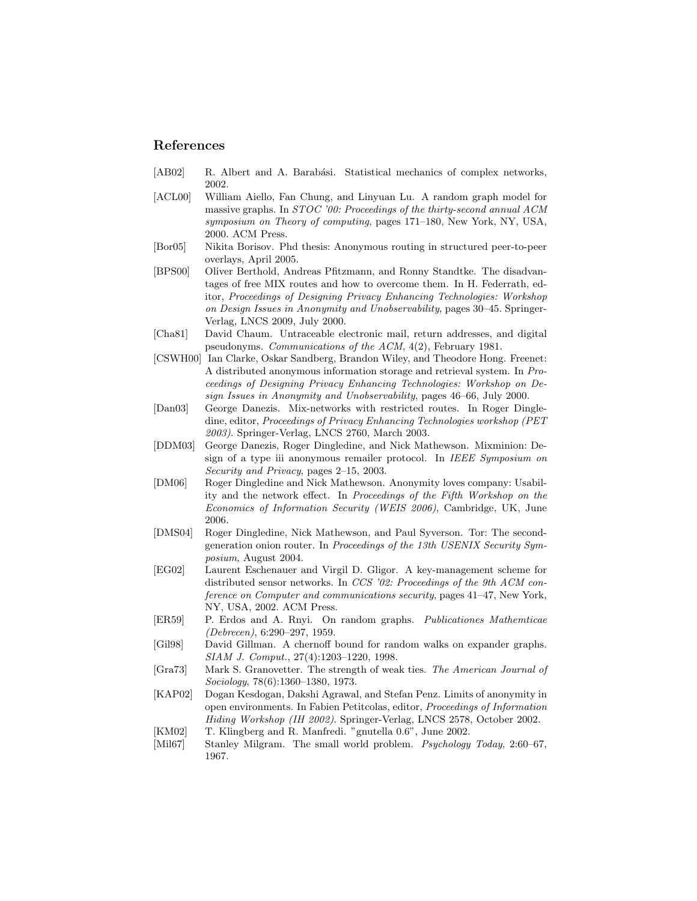### References

- [AB02] R. Albert and A. Barabási. Statistical mechanics of complex networks, 2002.
- [ACL00] William Aiello, Fan Chung, and Linyuan Lu. A random graph model for massive graphs. In STOC '00: Proceedings of the thirty-second annual ACM symposium on Theory of computing, pages 171–180, New York, NY, USA, 2000. ACM Press.
- [Bor05] Nikita Borisov. Phd thesis: Anonymous routing in structured peer-to-peer overlays, April 2005.
- [BPS00] Oliver Berthold, Andreas Pfitzmann, and Ronny Standtke. The disadvantages of free MIX routes and how to overcome them. In H. Federrath, editor, Proceedings of Designing Privacy Enhancing Technologies: Workshop on Design Issues in Anonymity and Unobservability, pages 30–45. Springer-Verlag, LNCS 2009, July 2000.
- [Cha81] David Chaum. Untraceable electronic mail, return addresses, and digital pseudonyms. Communications of the ACM, 4(2), February 1981.
- [CSWH00] Ian Clarke, Oskar Sandberg, Brandon Wiley, and Theodore Hong. Freenet: A distributed anonymous information storage and retrieval system. In Proceedings of Designing Privacy Enhancing Technologies: Workshop on Design Issues in Anonymity and Unobservability, pages 46–66, July 2000.
- [Dan03] George Danezis. Mix-networks with restricted routes. In Roger Dingledine, editor, Proceedings of Privacy Enhancing Technologies workshop (PET) 2003). Springer-Verlag, LNCS 2760, March 2003.
- [DDM03] George Danezis, Roger Dingledine, and Nick Mathewson. Mixminion: Design of a type iii anonymous remailer protocol. In IEEE Symposium on Security and Privacy, pages 2–15, 2003.
- [DM06] Roger Dingledine and Nick Mathewson. Anonymity loves company: Usability and the network effect. In Proceedings of the Fifth Workshop on the Economics of Information Security (WEIS 2006), Cambridge, UK, June 2006.
- [DMS04] Roger Dingledine, Nick Mathewson, and Paul Syverson. Tor: The secondgeneration onion router. In Proceedings of the 13th USENIX Security Symposium, August 2004.
- [EG02] Laurent Eschenauer and Virgil D. Gligor. A key-management scheme for distributed sensor networks. In CCS '02: Proceedings of the 9th ACM conference on Computer and communications security, pages 41–47, New York, NY, USA, 2002. ACM Press.
- [ER59] P. Erdos and A. Rnyi. On random graphs. Publicationes Mathemticae (Debrecen), 6:290–297, 1959.
- [Gil98] David Gillman. A chernoff bound for random walks on expander graphs. SIAM J. Comput., 27(4):1203–1220, 1998.
- [Gra73] Mark S. Granovetter. The strength of weak ties. The American Journal of Sociology, 78(6):1360–1380, 1973.
- [KAP02] Dogan Kesdogan, Dakshi Agrawal, and Stefan Penz. Limits of anonymity in open environments. In Fabien Petitcolas, editor, Proceedings of Information Hiding Workshop (IH 2002). Springer-Verlag, LNCS 2578, October 2002.
- [KM02] T. Klingberg and R. Manfredi. "gnutella 0.6", June 2002.
- [Mil67] Stanley Milgram. The small world problem. Psychology Today, 2:60–67, 1967.